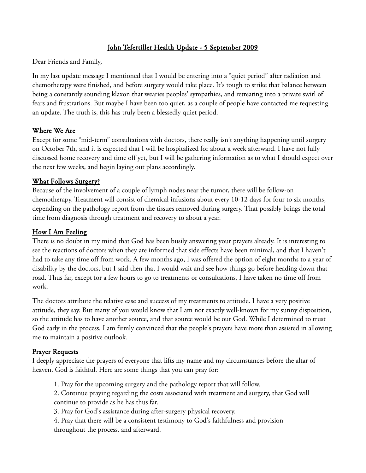## John Tefertiller Health Update - 5 September 2009

Dear Friends and Family,

In my last update message I mentioned that I would be entering into a "quiet period" after radiation and chemotherapy were finished, and before surgery would take place. It's tough to strike that balance between being a constantly sounding klaxon that wearies peoples' sympathies, and retreating into a private swirl of fears and frustrations. But maybe I have been too quiet, as a couple of people have contacted me requesting an update. The truth is, this has truly been a blessedly quiet period.

## Where We Are

Except for some "mid-term" consultations with doctors, there really isn't anything happening until surgery on October 7th, and it is expected that I will be hospitalized for about a week afterward. I have not fully discussed home recovery and time off yet, but I will be gathering information as to what I should expect over the next few weeks, and begin laying out plans accordingly.

#### What Follows Surgery?

Because of the involvement of a couple of lymph nodes near the tumor, there will be follow-on chemotherapy. Treatment will consist of chemical infusions about every 10-12 days for four to six months, depending on the pathology report from the tissues removed during surgery. That possibly brings the total time from diagnosis through treatment and recovery to about a year.

#### How I Am Feeling

There is no doubt in my mind that God has been busily answering your prayers already. It is interesting to see the reactions of doctors when they are informed that side effects have been minimal, and that I haven't had to take any time off from work. A few months ago, I was offered the option of eight months to a year of disability by the doctors, but I said then that I would wait and see how things go before heading down that road. Thus far, except for a few hours to go to treatments or consultations, I have taken no time off from work.

The doctors attribute the relative ease and success of my treatments to attitude. I have a very positive attitude, they say. But many of you would know that I am not exactly well-known for my sunny disposition, so the attitude has to have another source, and that source would be our God. While I determined to trust God early in the process, I am firmly convinced that the people's prayers have more than assisted in allowing me to maintain a positive outlook.

## Prayer Requests

I deeply appreciate the prayers of everyone that lifts my name and my circumstances before the altar of heaven. God is faithful. Here are some things that you can pray for:

- 1. Pray for the upcoming surgery and the pathology report that will follow.
- 2. Continue praying regarding the costs associated with treatment and surgery, that God will continue to provide as he has thus far.
- 3. Pray for God's assistance during after-surgery physical recovery.
- 4. Pray that there will be a consistent testimony to God's faithfulness and provision throughout the process, and afterward.